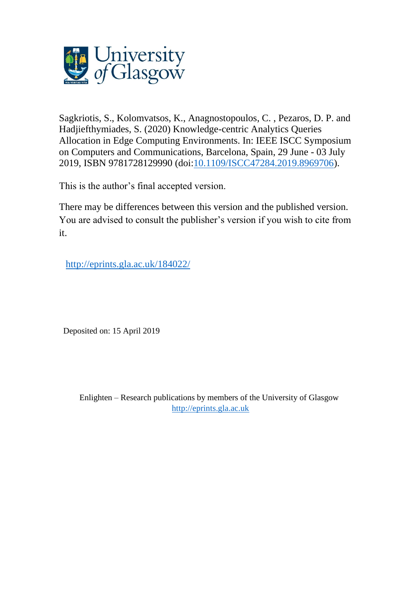

Sagkriotis, S., Kolomvatsos, K., Anagnostopoulos, C. , Pezaros, D. P. and Hadjiefthymiades, S. (2020) Knowledge-centric Analytics Queries Allocation in Edge Computing Environments. In: IEEE ISCC Symposium on Computers and Communications, Barcelona, Spain, 29 June - 03 July 2019, ISBN 9781728129990 (doi[:10.1109/ISCC47284.2019.8969706\)](http://dx.doi.org/10.1109/ISCC47284.2019.8969706).

This is the author's final accepted version.

There may be differences between this version and the published version. You are advised to consult the publisher's version if you wish to cite from it.

<http://eprints.gla.ac.uk/184022/>

Deposited on: 15 April 2019

Enlighten – Research publications by members of the University of Glasgow [http://eprints.gla.ac.uk](http://eprints.gla.ac.uk/)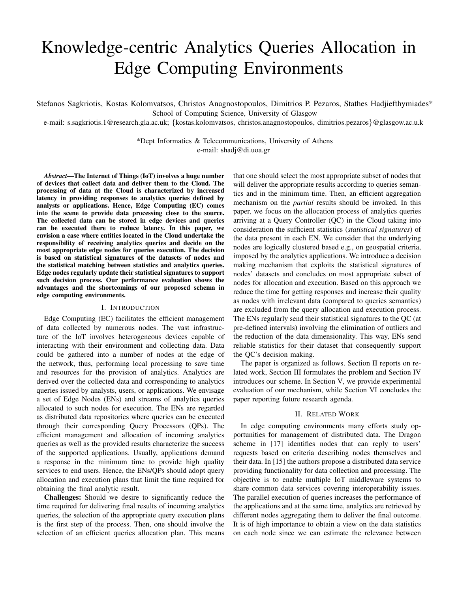# Knowledge-centric Analytics Queries Allocation in Edge Computing Environments

Stefanos Sagkriotis, Kostas Kolomvatsos, Christos Anagnostopoulos, Dimitrios P. Pezaros, Stathes Hadjiefthymiades\* School of Computing Science, University of Glasgow

e-mail: s.sagkriotis.1@research.gla.ac.uk; {kostas.kolomvatsos, christos.anagnostopoulos, dimitrios.pezaros}@glasgow.ac.u.k

\*Dept Informatics & Telecommunications, University of Athens e-mail: shadj@di.uoa.gr

*Abstract*—The Internet of Things (IoT) involves a huge number of devices that collect data and deliver them to the Cloud. The processing of data at the Cloud is characterized by increased latency in providing responses to analytics queries defined by analysts or applications. Hence, Edge Computing (EC) comes into the scene to provide data processing close to the source. The collected data can be stored in edge devices and queries can be executed there to reduce latency. In this paper, we envision a case where entities located in the Cloud undertake the responsibility of receiving analytics queries and decide on the most appropriate edge nodes for queries execution. The decision is based on statistical signatures of the datasets of nodes and the statistical matching between statistics and analytics queries. Edge nodes regularly update their statistical signatures to support such decision process. Our performance evaluation shows the advantages and the shortcomings of our proposed schema in edge computing environments.

## I. INTRODUCTION

Edge Computing (EC) facilitates the efficient management of data collected by numerous nodes. The vast infrastructure of the IoT involves heterogeneous devices capable of interacting with their environment and collecting data. Data could be gathered into a number of nodes at the edge of the network, thus, performing local processing to save time and resources for the provision of analytics. Analytics are derived over the collected data and corresponding to analytics queries issued by analysts, users, or applications. We envisage a set of Edge Nodes (ENs) and streams of analytics queries allocated to such nodes for execution. The ENs are regarded as distributed data repositories where queries can be executed through their corresponding Query Processors (QPs). The efficient management and allocation of incoming analytics queries as well as the provided results characterize the success of the supported applications. Usually, applications demand a response in the minimum time to provide high quality services to end users. Hence, the ENs/QPs should adopt query allocation and execution plans that limit the time required for obtaining the final analytic result.

Challenges: Should we desire to significantly reduce the time required for delivering final results of incoming analytics queries, the selection of the appropriate query execution plans is the first step of the process. Then, one should involve the selection of an efficient queries allocation plan. This means that one should select the most appropriate subset of nodes that will deliver the appropriate results according to queries semantics and in the minimum time. Then, an efficient aggregation mechanism on the *partial* results should be invoked. In this paper, we focus on the allocation process of analytics queries arriving at a Query Controller (QC) in the Cloud taking into consideration the sufficient statistics (*statistical signatures*) of the data present in each EN. We consider that the underlying nodes are logically clustered based e.g., on geospatial criteria, imposed by the analytics applications. We introduce a decision making mechanism that exploits the statistical signatures of nodes' datasets and concludes on most appropriate subset of nodes for allocation and execution. Based on this approach we reduce the time for getting responses and increase their quality as nodes with irrelevant data (compared to queries semantics) are excluded from the query allocation and execution process. The ENs regularly send their statistical signatures to the QC (at pre-defined intervals) involving the elimination of outliers and the reduction of the data dimensionality. This way, ENs send reliable statistics for their dataset that consequently support the QC's decision making.

The paper is organized as follows. Section II reports on related work, Section III formulates the problem and Section IV introduces our scheme. In Section V, we provide experimental evaluation of our mechanism, while Section VI concludes the paper reporting future research agenda.

## II. RELATED WORK

In edge computing environments many efforts study opportunities for management of distributed data. The Dragon scheme in [17] identifies nodes that can reply to users' requests based on criteria describing nodes themselves and their data. In [15] the authors propose a distributed data service providing functionality for data collection and processing. The objective is to enable multiple IoT middleware systems to share common data services covering interoperability issues. The parallel execution of queries increases the performance of the applications and at the same time, analytics are retrieved by different nodes aggregating them to deliver the final outcome. It is of high importance to obtain a view on the data statistics on each node since we can estimate the relevance between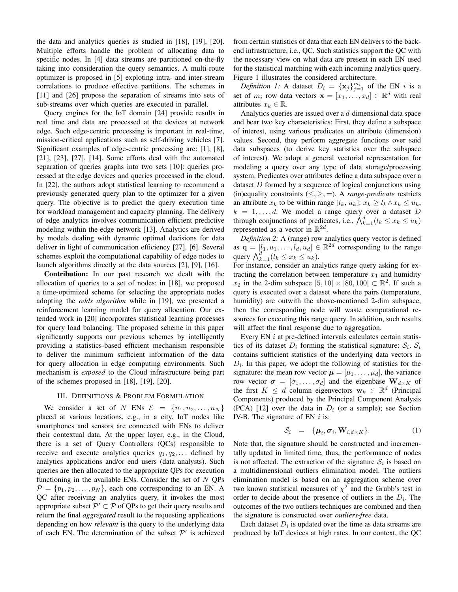the data and analytics queries as studied in [18], [19], [20]. Multiple efforts handle the problem of allocating data to specific nodes. In [4] data streams are partitioned on-the-fly taking into consideration the query semantics. A multi-route optimizer is proposed in [5] exploting intra- and inter-stream correlations to produce effective partitions. The schemes in [11] and [26] propose the separation of streams into sets of sub-streams over which queries are executed in parallel.

Query engines for the IoT domain [24] provide results in real time and data are processed at the devices at network edge. Such edge-centric processing is important in real-time, mission-critical applications such as self-driving vehicles [7]. Significant examples of edge-centric processing are: [1], [8], [21], [23], [27], [14]. Some efforts deal with the automated separation of queries graphs into two sets [10]: queries processed at the edge devices and queries processed in the cloud. In [22], the authors adopt statistical learning to recommend a previously generated query plan to the optimizer for a given query. The objective is to predict the query execution time for workload management and capacity planning. The delivery of edge analytics involves communication efficient predictive modeling within the edge network [13]. Analytics are derived by models dealing with dynamic optimal decisions for data deliver in light of communication efficiency [27], [6]. Several schemes exploit the computational capability of edge nodes to launch algorithms directly at the data sources [2], [9], [16].

Contribution: In our past research we dealt with the allocation of queries to a set of nodes; in [18], we proposed a time-optimized scheme for selecting the appropriate nodes adopting the *odds algorithm* while in [19], we presented a reinforcement learning model for query allocation. Our extended work in [20] incorporates statistical learning processes for query load balancing. The proposed scheme in this paper significantly supports our previous schemes by intelligently providing a statistics-based efficient mechanism responsible to deliver the minimum sufficient information of the data for query allocation in edge computing environments. Such mechanism is *exposed* to the Cloud infrastructure being part of the schemes proposed in [18], [19], [20].

### III. DEFINITIONS & PROBLEM FORMULATION

We consider a set of N ENs  $\mathcal{E} = \{n_1, n_2, \ldots, n_N\}$ placed at various locations, e.g., in a city. IoT nodes like smartphones and sensors are connected with ENs to deliver their contextual data. At the upper layer, e.g., in the Cloud, there is a set of Query Controllers (QCs) responsible to receive and execute analytics queries  $q_1, q_2, \ldots$  defined by analytics applications and/or end users (data analysts). Such queries are then allocated to the appropriate QPs for execution functioning in the available ENs. Consider the set of  $N$  QPs  $\mathcal{P} = \{p_1, p_2, \dots, p_N\}$ , each one corresponding to an EN. A QC after receiving an analytics query, it invokes the most appropriate subset  $\mathcal{P}' \subset \mathcal{P}$  of QPs to get their query results and return the final *aggregated* result to the requesting applications depending on how *relevant* is the query to the underlying data of each EN. The determination of the subset  $\mathcal{P}'$  is achieved from certain statistics of data that each EN delivers to the backend infrastructure, i.e., QC. Such statistics support the QC with the necessary view on what data are present in each EN used for the statistical matching with each incoming analytics query. Figure 1 illustrates the considered architecture.

*Definition 1:* A dataset  $D_i = {\mathbf{x}_j}_{j=1}^{m_i}$  of the EN i is a set of  $m_i$  row data vectors  $\mathbf{x} = [x_1, \dots, x_d] \in \mathbb{R}^d$  with real attributes  $x_k \in \mathbb{R}$ .

Analytics queries are issued over a d-dimensional data space and bear two key characteristics: First, they define a subspace of interest, using various predicates on attribute (dimension) values. Second, they perform aggregate functions over said data subspaces (to derive key statistics over the subspace of interest). We adopt a general vectorial representation for modeling a query over any type of data storage/processing system. Predicates over attributes define a data subspace over a dataset D formed by a sequence of logical conjunctions using (in)equality constraints  $(\leq, \geq, =)$ . A *range-predicate* restricts an attribute  $x_k$  to be within range  $[l_k, u_k]$ :  $x_k \geq l_k \wedge x_k \leq u_k$ ,  $k = 1, \ldots, d$ . We model a range query over a dataset D through conjunctions of predicates, i.e.,  $\bigwedge_{k=1}^{d} (l_k \leq x_k \leq u_k)$ represented as a vector in  $\mathbb{R}^{2d}$ .

*Definition 2:* A (range) row analytics query vector is defined as  $\mathbf{q} = [l_1, u_1, \dots, l_d, u_d] \in \mathbb{R}^{2d}$  corresponding to the range query  $\bigwedge_{k=1}^d (l_k \leq x_k \leq u_k)$ .

For instance, consider an analytics range query asking for extracting the correlation between temperature  $x_1$  and humidity  $x_2$  in the 2-dim subspace  $[5, 10] \times [80, 100] \subset \mathbb{R}^2$ . If such a query is executed over a dataset where the pairs (temperature, humidity) are outwith the above-mentioned 2-dim subspace, then the corresponding node will waste computational resources for executing this range query. In addition, such results will affect the final response due to aggregation.

Every EN  $i$  at pre-defined intervals calculates certain statistics of its dataset  $D_i$  forming the statistical signature:  $S_i$ .  $S_i$ contains sufficient statistics of the underlying data vectors in  $D_i$ . In this paper, we adopt the following of statistics for the signature: the mean row vector  $\boldsymbol{\mu} = [\mu_1, \dots, \mu_d]$ , the variance row vector  $\boldsymbol{\sigma} = [\sigma_1, \dots, \sigma_d]$  and the eigenbase  $\mathbf{W}_{d \times K}$  of the first  $K \leq d$  column eigenvectors  $\mathbf{w}_k \in \mathbb{R}^d$  (Principal Components) produced by the Principal Component Analysis (PCA) [12] over the data in  $D_i$  (or a sample); see Section IV-B. The signature of EN  $i$  is:

$$
S_i = {\mu_i, \sigma_i, \mathbf{W}_{i, d \times K}}. \tag{1}
$$

Note that, the signature should be constructed and incrementally updated in limited time, thus, the performance of nodes is not affected. The extraction of the signature  $S_i$  is based on a multidimensional outliers elimination model. The outliers elimination model is based on an aggregation scheme over two known statistical measures of  $\chi^2$  and the Grubb's test in order to decide about the presence of outliers in the  $D<sub>i</sub>$ . The outcomes of the two outliers techniques are combined and then the signature is constructed over *outliers-free* data.

Each dataset  $D_i$  is updated over the time as data streams are produced by IoT devices at high rates. In our context, the QC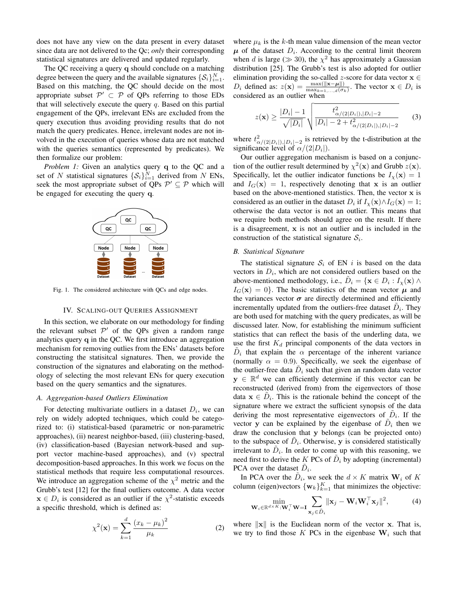does not have any view on the data present in every dataset since data are not delivered to the Qc; *only* their corresponding statistical signatures are delivered and updated regularly.

The QC receiving a query q should conclude on a matching degree between the query and the available signatures  $\{\mathcal{S}_i\}_{i=1}^N$ . Based on this matching, the QC should decide on the most appropriate subset  $\mathcal{P}' \subset \mathcal{P}$  of QPs referring to those EDs that will selectively execute the query  $q$ . Based on this partial engagement of the QPs, irrelevant ENs are excluded from the query execution thus avoiding providing results that do not match the query predicates. Hence, irrelevant nodes are not involved in the execution of queries whose data are not matched with the queries semantics (represented by predicates). We then formalize our problem:

*Problem 1:* Given an analytics query q to the QC and a set of N statistical signatures  $\{S_i\}_{i=1}^N$  derived from N ENs, seek the most appropriate subset of QPs  $\mathcal{P}' \subseteq \mathcal{P}$  which will be engaged for executing the query q.



Fig. 1. The considered architecture with QCs and edge nodes.

# IV. SCALING-OUT QUERIES ASSIGNMENT

In this section, we elaborate on our methodology for finding the relevant subset  $\mathcal{P}'$  of the QPs given a random range analytics query q in the QC. We first introduce an aggregation mechanism for removing outlies from the ENs' datasets before constructing the statisitcal signatures. Then, we provide the construction of the signatures and elaborating on the methodology of selecting the most relevant ENs for query execution based on the query semantics and the signatures.

#### *A. Aggregation-based Outliers Elimination*

For detecting multivariate outliers in a dataset  $D_i$ , we can rely on widely adopted techniques, which could be categorized to: (i) statistical-based (parametric or non-parametric approaches), (ii) nearest neighbor-based, (iii) clustering-based, (iv) classification-based (Bayesian network-based and support vector machine-based approaches), and (v) spectral decomposition-based approaches. In this work we focus on the statistical methods that require less computational resources. We introduce an aggregation scheme of the  $\chi^2$  metric and the Grubb's test [12] for the final outliers outcome. A data vector  $x \in D_i$  is considered as an outlier if the  $\chi^2$ -statistic exceeds a specific threshold, which is defined as:

$$
\chi^{2}(\mathbf{x}) = \sum_{k=1}^{d} \frac{(x_k - \mu_k)^2}{\mu_k}
$$
 (2)

where  $\mu_k$  is the k-th mean value dimension of the mean vector  $\mu$  of the dataset  $D_i$ . According to the central limit theorem when d is large ( $\gg$  30), the  $\chi^2$  has approximately a Gaussian distribution [25]. The Grubb's test is also adopted for outlier elimination providing the so-called z-score for data vector  $x \in$  $D_i$  defined as:  $z(\mathbf{x}) = \frac{\max(\|\mathbf{x} - \boldsymbol{\mu}\|)}{\max_{k=1,\dots,d}(\sigma_k)}$ . The vector  $\mathbf{x} \in D_i$  is considered as an outlier when

$$
z(\mathbf{x}) \ge \frac{|D_i| - 1}{\sqrt{|D_i|}} \sqrt{\frac{t_{\alpha/(2|D_i|),|D_i|-2}^2}{|D_i| - 2 + t_{\alpha/(2|D_i|),|D_i|-2}^2}} \qquad (3)
$$

where  $t^2_{\alpha/(2|D_i|),|D_i|-2}$  is retrieved by the t-distribution at the significance level of  $\alpha/(2|D_i|)$ .

Our outlier aggregation mechanism is based on a conjunction of the outlier result determined by  $\chi^2(\mathbf{x})$  and Grubb  $z(\mathbf{x})$ . Specifically, let the outlier indicator functions be  $I_{\chi}(\mathbf{x}) = 1$ and  $I_G(\mathbf{x}) = 1$ , respectively denoting that x is an outlier based on the above-mentioned statistics. Then, the vector  $x$  is considered as an outlier in the dataset  $D_i$  if  $I_\chi(\mathbf{x}) \wedge I_G(\mathbf{x}) = 1$ ; otherwise the data vector is not an outlier. This means that we require both methods should agree on the result. If there is a disagreement, x is not an outlier and is included in the construction of the statistical signature  $S_i$ .

# *B. Statistical Signature*

The statistical signature  $S_i$  of EN i is based on the data vectors in  $D_i$ , which are not considered outliers based on the above-mentioned methodology, i.e.,  $\tilde{D}_i = \{ \mathbf{x} \in D_i : I_{\chi}(\mathbf{x}) \land$  $I_G(\mathbf{x}) = 0$ . The basic statistics of the mean vector  $\mu$  and the variances vector  $\sigma$  are directly determined and efficiently incrementally updated from the outliers-free dataset  $D_i$ . They are both used for matching with the query predicates, as will be discussed later. Now, for establishing the minimum sufficient statistics that can reflect the basis of the underling data, we use the first  $K_d$  principal components of the data vectors in  $\tilde{D}_i$  that explain the  $\alpha$  percentage of the inherent variance (normally  $\alpha = 0.9$ ). Specifically, we seek the eigenbase of the outlier-free data  $D_i$  such that given an random data vector  $y \in \mathbb{R}^d$  we can efficiently determine if this vector can be reconstructed (derived from) from the eigenvectors of those data  $\mathbf{x} \in \tilde{D}_i$ . This is the rationale behind the concept of the signature where we extract the sufficient synopsis of the data deriving the most representative eigenvectors of  $\tilde{D}_i$ . If the vector y can be explained by the eigenbase of  $D_i$  then we draw the conclusion that y belongs (can be projected onto) to the subspace of  $D_i$ . Otherwise, y is considered statistically irrelevant to  $D_i$ . In order to come up with this reasoning, we need first to derive the K PCs of  $\tilde{D}_i$  by adopting (incremental) PCA over the dataset  $D_i$ .

In PCA over the  $D_i$ , we seek the  $d \times K$  matrix  $W_i$  of K column (eigen)vectors  $\{w_k\}_{k=1}^K$  that minimizes the objective:

$$
\min_{\mathbf{W}_i \in \mathbb{R}^{d \times K}: \mathbf{W}_i^\top \mathbf{W} = \mathbf{I}} \sum_{\mathbf{x}_j \in \tilde{D}_i} \|\mathbf{x}_j - \mathbf{W}_i \mathbf{W}_i^\top \mathbf{x}_j\|^2, \tag{4}
$$

where  $\|\mathbf{x}\|$  is the Euclidean norm of the vector x. That is, we try to find those  $K$  PCs in the eigenbase  $W_i$  such that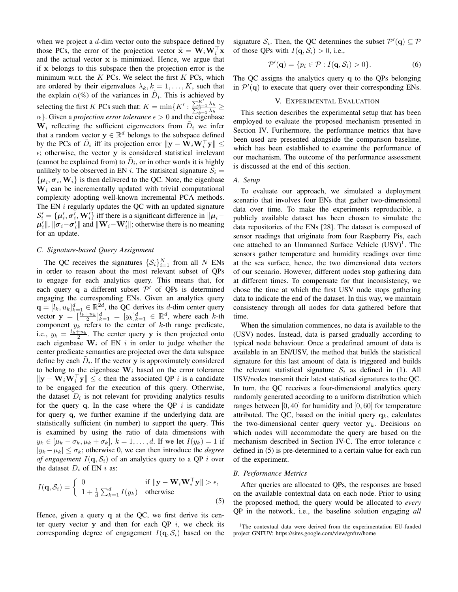when we project a  $d$ -dim vector onto the subspace defined by those PCs, the error of the projection vector  $\tilde{\mathbf{x}} = \mathbf{W}_i \mathbf{W}_i^\top \mathbf{x}$ and the actual vector x is minimized. Hence, we argue that if x belongs to this subspace then the projection error is the minimum w.r.t. the  $K$  PCs. We select the first  $K$  PCs, which are ordered by their eigenvalues  $\lambda_k, k = 1, \dots, K$ , such that the explain  $\alpha$ (%) of the variances in  $\tilde{D}_i$ . This is achieved by selecting the first K PCs such that:  $K = \min\{K' : \frac{\sum_{k=1}^{K'} \lambda_k}{\sum_{k=1}^{d} \lambda_k} \ge$  $\alpha$ . Given a *projection error tolerance*  $\epsilon > 0$  and the eigenbase  $\dot{W}_i$  reflecting the sufficient eigenvectors from  $\tilde{D}_i$  we infer that a random vector  $y \in \mathbb{R}^d$  belongs to the subspace defined by the PCs of  $\tilde{D}_i$  iff its projection error  $\|\mathbf{y} - \hat{\mathbf{W}}_i\mathbf{W}_i^{\top}\mathbf{y}\| \leq$  $\epsilon$ ; otherwise, the vector y is considered statistical irrelevant (cannot be explained from) to  $\tilde{D}_i$ , or in other words it is highly unlikely to be observed in EN i. The statisitical signature  $S_i$  =  $\{\boldsymbol{\mu}_i, \boldsymbol{\sigma}_i, \mathbf{W}_i\}$  is then delivered to the QC. Note, the eigenbase  $W_i$  can be incrementally updated with trivial computational complexity adopting well-known incremental PCA methods. The EN *i* regularly updates the QC with an updated signature  $\mathcal{S}'_i = \{\mu'_i, \sigma'_i, \mathbf{W}'_i\}$  iff there is a significant difference in  $\|\mu_i \mu'_{i}$ ||,  $\|\sigma_{i} - \sigma'_{i}\|$  and  $\|\mathbf{W}_{i} - \mathbf{W}'_{i}\|$ ; otherwise there is no meaning for an update.

## *C. Signature-based Query Assignment*

The QC receives the signatures  $\{S_i\}_{i=1}^N$  from all N ENs in order to reason about the most relevant subset of QPs to engage for each analytics query. This means that, for each query q a different subset  $\mathcal{P}'$  of QPs is determined engaging the corresponding ENs. Given an analytics query  $\mathbf{q} = [l_k, u_k]_{k=1}^d \in \mathbb{R}^{2d}$ , the QC derives its d-dim center query vector  $\mathbf{y} = \left[\frac{l_k + u_k}{2}\right]_{k=1}^d = [y_k]_{k=1}^d \in \mathbb{R}^d$ , where each k-th component  $y_k$  refers to the center of k-th range predicate, i.e.,  $y_k = \frac{l_k + u_k}{2}$ . The center query y is then projected onto each eigenbase  $W_i$  of EN i in order to judge whether the center predicate semantics are projected over the data subspace define by each  $\tilde{D}_i$ . If the vector y is approximately considered to belong to the eigenbase  $W_i$  based on the error tolerance  $\|\mathbf{y} - \mathbf{W}_i \mathbf{W}_i^\top \mathbf{y}\| \le \epsilon$  then the associated QP i is a candidate to be engaged for the execution of this query. Otherwise, the dataset  $D_i$  is not relevant for providing analytics results for the query q. In the case where the QP  $i$  is candidate for query q, we further examine if the underlying data are statistically sufficient (in number) to support the query. This is examined by using the ratio of data dimensions with  $y_k \in [\mu_k - \sigma_k, \mu_k + \sigma_k], k = 1, \ldots, d$ . If we let  $I(y_k) = 1$  if  $|y_k - \mu_k| \leq \sigma_k$ ; otherwise 0, we can then introduce the *degree of engagement*  $I(q, S_i)$  of an analytics query to a QP i over the dataset  $D_i$  of EN i as:

$$
I(\mathbf{q}, \mathcal{S}_i) = \begin{cases} 0 & \text{if } \|\mathbf{y} - \mathbf{W}_i \mathbf{W}_i^{\top} \mathbf{y} \| > \epsilon, \\ 1 + \frac{1}{d} \sum_{k=1}^d I(y_k) & \text{otherwise} \end{cases}
$$
(5)

Hence, given a query q at the OC, we first derive its center query vector  $y$  and then for each QP  $i$ , we check its corresponding degree of engagement  $I(q, S_i)$  based on the

signature  $S_i$ . Then, the QC determines the subset  $\mathcal{P}'(\mathbf{q}) \subseteq \mathcal{P}$ of those QPs with  $I(\mathbf{q}, \mathcal{S}_i) > 0$ , i.e.,

$$
\mathcal{P}'(\mathbf{q}) = \{ p_i \in \mathcal{P} : I(\mathbf{q}, \mathcal{S}_i) > 0 \}. \tag{6}
$$

The QC assigns the analytics query q to the QPs belonging in  $\mathcal{P}'(\mathbf{q})$  to execute that query over their corresponding ENs.

# V. EXPERIMENTAL EVALUATION

This section describes the experimental setup that has been employed to evaluate the proposed mechanism presented in Section IV. Furthermore, the performance metrics that have been used are presented alongside the comparison baseline, which has been established to examine the performance of our mechanism. The outcome of the performance assessment is discussed at the end of this section.

# *A. Setup*

To evaluate our approach, we simulated a deployment scenario that involves four ENs that gather two-dimensional data over time. To make the experiments reproducible, a publicly available dataset has been chosen to simulate the data repositories of the ENs [28]. The dataset is composed of sensor readings that originate from four Raspberry Pis, each one attached to an Unmanned Surface Vehicle  $(USV)^1$ . The sensors gather temperature and humidity readings over time at the sea surface, hence, the two dimensional data vectors of our scenario. However, different nodes stop gathering data at different times. To compensate for that inconsistency, we chose the time at which the first USV node stops gathering data to indicate the end of the dataset. In this way, we maintain consistency through all nodes for data gathered before that time.

When the simulation commences, no data is available to the (USV) nodes. Instead, data is parsed gradually according to typical node behaviour. Once a predefined amount of data is available in an EN/USV, the method that builds the statistical signature for this last amount of data is triggered and builds the relevant statistical signature  $S_i$  as defined in (1). All USV/nodes transmit their latest statistical signatures to the QC. In turn, the QC receives a four-dimensional analytics query randomly generated according to a uniform distribution which ranges between  $[0, 40]$  for humidity and  $[0, 60]$  for temperature attributed. The QC, based on the initial query  $q_k$ , calculates the two-dimensional center query vector  $y_k$ . Decisions on which nodes will accommodate the query are based on the mechanism described in Section IV-C. The error tolerance  $\epsilon$ defined in (5) is pre-determined to a certain value for each run of the experiment.

# *B. Performance Metrics*

After queries are allocated to QPs, the responses are based on the available contextual data on each node. Prior to using the proposed method, the query would be allocated to *every* QP in the network, i.e., the baseline solution engaging *all*

<sup>&</sup>lt;sup>1</sup>The contextual data were derived from the experimentation EU-funded project GNFUV: https://sites.google.com/view/gnfuv/home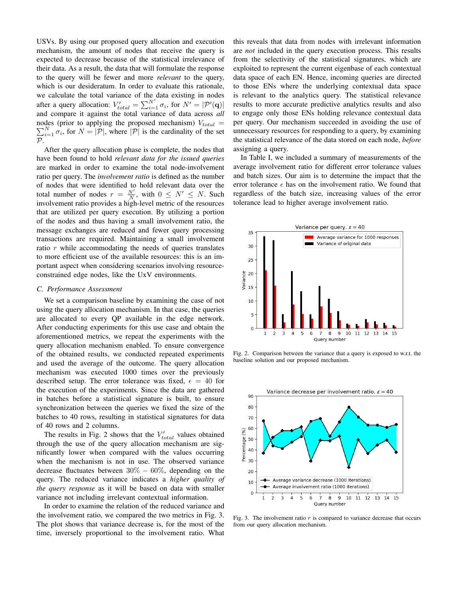USVs. By using our proposed query allocation and execution mechanism, the amount of nodes that receive the query is expected to decrease because of the statistical irrelevance of their data. As a result, the data that will formulate the response to the query will be fewer and more *relevant* to the query, which is our desideratum. In order to evaluate this rationale, we calculate the total variance of the data existing in nodes after a query allocation:  $V'_{total} = \sum_{i=1}^{N'} \sigma_i$ , for  $N' = |\mathcal{P}'(\mathbf{q})|$ and compare it against the total variance of data across *all* nodes (prior to applying the proposed mechanism)  $V_{total} =$  $\sum_{i=1}^{N} \sigma_i$ , for  $N = |\mathcal{P}|$ , where  $|\mathcal{P}|$  is the cardinality of the set  $\mathcal{P}.$ 

After the query allocation phase is complete, the nodes that have been found to hold *relevant data for the issued queries* are marked in order to examine the total node-involvement ratio per query. The *involvement ratio* is defined as the number of nodes that were identified to hold relevant data over the total number of nodes  $r = \frac{N'}{N}$ , with  $0 \le N' \le N$ . Such involvement ratio provides a high-level metric of the resources that are utilized per query execution. By utilizing a portion of the nodes and thus having a small involvement ratio, the message exchanges are reduced and fewer query processing transactions are required. Maintaining a small involvement ratio  $r$  while accommodating the needs of queries translates to more efficient use of the available resources: this is an important aspect when considering scenarios involving resourceconstrained edge nodes, like the UxV environments.

#### *C. Performance Assessment*

We set a comparison baseline by examining the case of not using the query allocation mechanism. In that case, the queries are allocated to every QP available in the edge network. After conducting experiments for this use case and obtain the aforementioned metrics, we repeat the experiments with the query allocation mechanism enabled. To ensure convergence of the obtained results, we conducted repeated experiments and used the average of the outcome. The query allocation mechanism was executed 1000 times over the previously described setup. The error tolerance was fixed,  $\epsilon = 40$  for the execution of the experiments. Since the data are gathered in batches before a statistical signature is built, to ensure synchronization between the queries we fixed the size of the batches to 40 rows, resulting in statistical signatures for data of 40 rows and 2 columns.

The results in Fig. 2 shows that the  $V'_{total}$  values obtained through the use of the query allocation mechanism are significantly lower when compared with the values occurring when the mechanism is not in use. The observed variance decrease fluctuates between  $30\% - 60\%$ , depending on the query. The reduced variance indicates a *higher quality of the query response* as it will be based on data with smaller variance not including irrelevant contextual information.

In order to examine the relation of the reduced variance and the involvement ratio, we compared the two metrics in Fig. 3. The plot shows that variance decrease is, for the most of the time, inversely proportional to the involvement ratio. What this reveals that data from nodes with irrelevant information are *not* included in the query execution process. This results from the selectivity of the statistical signatures, which are exploited to represent the current eigenbase of each contextual data space of each EN. Hence, incoming queries are directed to those ENs where the underlying contextual data space is relevant to the analytics query. The statistical relevance results to more accurate predictive analytics results and also to engage only those ENs holding relevance contextual data per query. Our mechanism succeeded in avoiding the use of unnecessary resources for responding to a query, by examining the statistical relevance of the data stored on each node, *before* assigning a query.

In Table I, we included a summary of measurements of the average involvement ratio for different error tolerance values and batch sizes. Our aim is to determine the impact that the error tolerance  $\epsilon$  has on the involvement ratio. We found that regardless of the batch size, increasing values of the error tolerance lead to higher average involvement ratio.



Fig. 2. Comparison between the variance that a query is exposed to w.r.t. the baseline solution and our proposed mechanism.



Fig. 3. The involvement ratio  $r$  is compared to variance decrease that occurs from our query allocation mechanism.